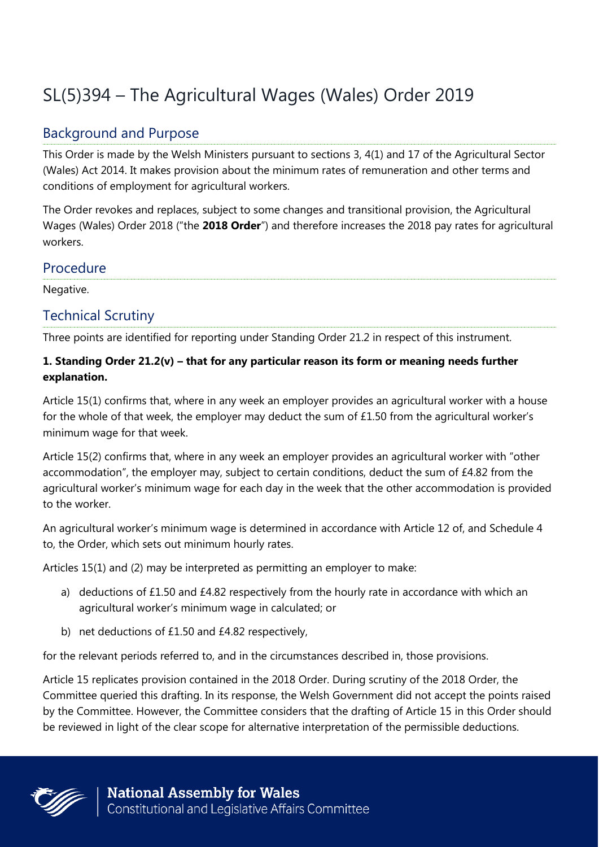# SL(5)394 – The Agricultural Wages (Wales) Order 2019

## Background and Purpose

This Order is made by the Welsh Ministers pursuant to sections 3, 4(1) and 17 of the Agricultural Sector (Wales) Act 2014. It makes provision about the minimum rates of remuneration and other terms and conditions of employment for agricultural workers.

The Order revokes and replaces, subject to some changes and transitional provision, the Agricultural Wages (Wales) Order 2018 ("the **2018 Order**") and therefore increases the 2018 pay rates for agricultural workers.

#### Procedure

Negative.

## Technical Scrutiny

Three points are identified for reporting under Standing Order 21.2 in respect of this instrument.

#### **1. Standing Order 21.2(v) – that for any particular reason its form or meaning needs further explanation.**

Article 15(1) confirms that, where in any week an employer provides an agricultural worker with a house for the whole of that week, the employer may deduct the sum of £1.50 from the agricultural worker's minimum wage for that week.

Article 15(2) confirms that, where in any week an employer provides an agricultural worker with "other accommodation", the employer may, subject to certain conditions, deduct the sum of £4.82 from the agricultural worker's minimum wage for each day in the week that the other accommodation is provided to the worker.

An agricultural worker's minimum wage is determined in accordance with Article 12 of, and Schedule 4 to, the Order, which sets out minimum hourly rates.

Articles 15(1) and (2) may be interpreted as permitting an employer to make:

- a) deductions of £1.50 and £4.82 respectively from the hourly rate in accordance with which an agricultural worker's minimum wage in calculated; or
- b) net deductions of £1.50 and £4.82 respectively,

for the relevant periods referred to, and in the circumstances described in, those provisions.

Article 15 replicates provision contained in the 2018 Order. During scrutiny of the 2018 Order, the Committee queried this drafting. In its response, the Welsh Government did not accept the points raised by the Committee. However, the Committee considers that the drafting of Article 15 in this Order should be reviewed in light of the clear scope for alternative interpretation of the permissible deductions.